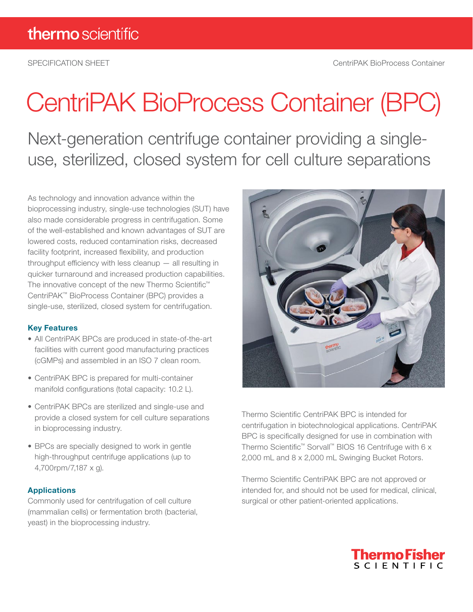# CentriPAK BioProcess Container (BPC)

Next-generation centrifuge container providing a singleuse, sterilized, closed system for cell culture separations

As technology and innovation advance within the bioprocessing industry, single-use technologies (SUT) have also made considerable progress in centrifugation. Some of the well-established and known advantages of SUT are lowered costs, reduced contamination risks, decreased facility footprint, increased flexibility, and production throughput efficiency with less cleanup — all resulting in quicker turnaround and increased production capabilities. The innovative concept of the new Thermo Scientific™ CentriPAK™ BioProcess Container (BPC) provides a single-use, sterilized, closed system for centrifugation.

# Key Features

- All CentriPAK BPCs are produced in state-of-the-art facilities with current good manufacturing practices (cGMPs) and assembled in an ISO 7 clean room.
- CentriPAK BPC is prepared for multi-container manifold configurations (total capacity: 10.2 L).
- CentriPAK BPCs are sterilized and single-use and provide a closed system for cell culture separations in bioprocessing industry.
- BPCs are specially designed to work in gentle high-throughput centrifuge applications (up to 4,700rpm/7,187 x g).

# Applications

Commonly used for centrifugation of cell culture (mammalian cells) or fermentation broth (bacterial, yeast) in the bioprocessing industry.



Thermo Scientific CentriPAK BPC is intended for centrifugation in biotechnological applications. CentriPAK BPC is specifically designed for use in combination with Thermo Scientific™ Sorvall™ BIOS 16 Centrifuge with 6 x 2,000 mL and 8 x 2,000 mL Swinging Bucket Rotors.

Thermo Scientific CentriPAK BPC are not approved or intended for, and should not be used for medical, clinical, surgical or other patient-oriented applications.

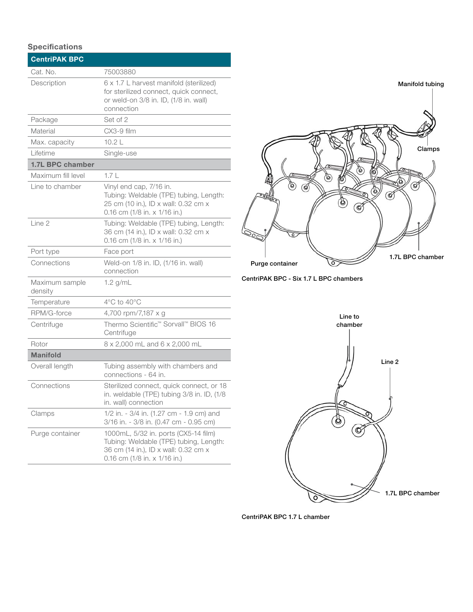# **Specifications**

| <b>CentriPAK BPC</b>      |                                                                                                                                                            |
|---------------------------|------------------------------------------------------------------------------------------------------------------------------------------------------------|
| Cat. No.                  | 75003880                                                                                                                                                   |
| Description               | 6 x 1.7 L harvest manifold (sterilized)<br>for sterilized connect, quick connect,<br>or weld-on 3/8 in. ID, (1/8 in. wall)<br>connection                   |
| Package                   | Set of 2                                                                                                                                                   |
| Material                  | CX3-9 film                                                                                                                                                 |
| Max. capacity             | 10.2 <sub>L</sub>                                                                                                                                          |
| I ifetime                 | Single-use                                                                                                                                                 |
| <b>1.7L BPC chamber</b>   |                                                                                                                                                            |
| Maximum fill level        | 1.7 <sub>L</sub>                                                                                                                                           |
| Line to chamber           | Vinyl end cap, 7/16 in.<br>Tubing: Weldable (TPE) tubing, Length:<br>25 cm (10 in.), ID x wall: 0.32 cm x<br>0.16 cm (1/8 in. x 1/16 in.)                  |
| Line 2                    | Tubing: Weldable (TPE) tubing, Length:<br>36 cm (14 in.), ID x wall: 0.32 cm x<br>0.16 cm $(1/8$ in. x $1/16$ in.)                                         |
| Port type                 | Face port                                                                                                                                                  |
| Connections               | Weld-on 1/8 in. ID, (1/16 in. wall)<br>connection                                                                                                          |
| Maximum sample<br>density | $1.2$ g/mL                                                                                                                                                 |
| Temperature               | 4°C to 40°C                                                                                                                                                |
| RPM/G-force               | 4,700 rpm/7,187 x g                                                                                                                                        |
| Centrifuge                | Thermo Scientific <sup>™</sup> Sorvall™ BIOS 16<br>Centrifuge                                                                                              |
| Rotor                     | 8 x 2,000 mL and 6 x 2,000 mL                                                                                                                              |
| <b>Manifold</b>           |                                                                                                                                                            |
| Overall length            | Tubing assembly with chambers and<br>connections - 64 in.                                                                                                  |
| Connections               | Sterilized connect, quick connect, or 18<br>in. weldable (TPE) tubing 3/8 in. ID, (1/8<br>in. wall) connection                                             |
| Clamps                    | 1/2 in. - 3/4 in. (1.27 cm - 1.9 cm) and<br>3/16 in. - 3/8 in. (0.47 cm - 0.95 cm)                                                                         |
| Purge container           | 1000mL, 5/32 in. ports (CX5-14 film)<br>Tubing: Weldable (TPE) tubing, Length:<br>36 cm (14 in.), ID x wall: 0.32 cm x<br>0.16 cm $(1/8$ in. x $1/16$ in.) |







CentriPAK BPC 1.7 L chamber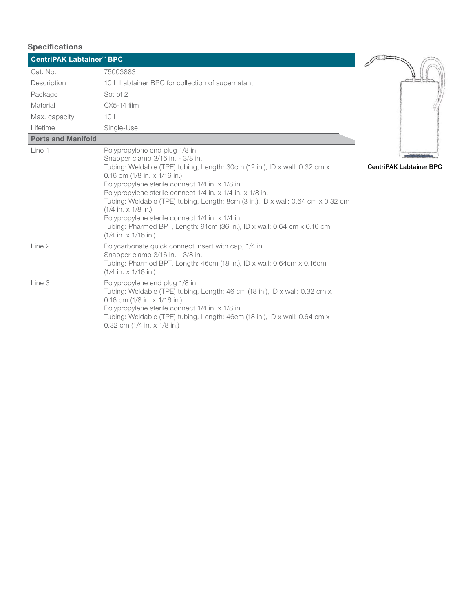| <b>Specifications</b>                |                                                                                                                                                                                                                                                                                                                                                                                                                                                                                                                                                                                |                                |
|--------------------------------------|--------------------------------------------------------------------------------------------------------------------------------------------------------------------------------------------------------------------------------------------------------------------------------------------------------------------------------------------------------------------------------------------------------------------------------------------------------------------------------------------------------------------------------------------------------------------------------|--------------------------------|
| CentriPAK Labtainer <sup>™</sup> BPC |                                                                                                                                                                                                                                                                                                                                                                                                                                                                                                                                                                                |                                |
| Cat. No.                             | 75003883                                                                                                                                                                                                                                                                                                                                                                                                                                                                                                                                                                       |                                |
| Description                          | 10 L Labtainer BPC for collection of supernatant                                                                                                                                                                                                                                                                                                                                                                                                                                                                                                                               |                                |
| Package                              | Set of 2                                                                                                                                                                                                                                                                                                                                                                                                                                                                                                                                                                       |                                |
| Material                             | CX5-14 film                                                                                                                                                                                                                                                                                                                                                                                                                                                                                                                                                                    |                                |
| Max. capacity                        | 10L                                                                                                                                                                                                                                                                                                                                                                                                                                                                                                                                                                            |                                |
| Lifetime                             | Single-Use                                                                                                                                                                                                                                                                                                                                                                                                                                                                                                                                                                     |                                |
| <b>Ports and Manifold</b>            |                                                                                                                                                                                                                                                                                                                                                                                                                                                                                                                                                                                |                                |
| Line 1                               | Polypropylene end plug 1/8 in.<br>Snapper clamp 3/16 in. - 3/8 in.<br>Tubing: Weldable (TPE) tubing, Length: 30cm (12 in.), ID x wall: 0.32 cm x<br>0.16 cm $(1/8$ in. x $1/16$ in.)<br>Polypropylene sterile connect 1/4 in. x 1/8 in.<br>Polypropylene sterile connect 1/4 in. x 1/4 in. x 1/8 in.<br>Tubing: Weldable (TPE) tubing, Length: 8cm (3 in.), ID x wall: 0.64 cm x 0.32 cm<br>$(1/4$ in. x $1/8$ in.)<br>Polypropylene sterile connect 1/4 in. x 1/4 in.<br>Tubing: Pharmed BPT, Length: 91cm (36 in.), ID x wall: 0.64 cm x 0.16 cm<br>$(1/4$ in. x $1/16$ in.) | <b>CentriPAK Labtainer BPC</b> |
| Line 2                               | Polycarbonate quick connect insert with cap, 1/4 in.<br>Snapper clamp 3/16 in. - 3/8 in.<br>Tubing: Pharmed BPT, Length: 46cm (18 in.), ID x wall: 0.64cm x 0.16cm<br>$(1/4$ in. x $1/16$ in.)                                                                                                                                                                                                                                                                                                                                                                                 |                                |
| Line 3                               | Polypropylene end plug 1/8 in.<br>Tubing: Weldable (TPE) tubing, Length: 46 cm (18 in.), ID x wall: 0.32 cm x<br>0.16 cm $(1/8$ in. x $1/16$ in.)<br>Polypropylene sterile connect 1/4 in. x 1/8 in.<br>Tubing: Weldable (TPE) tubing, Length: 46cm (18 in.), ID x wall: 0.64 cm x<br>0.32 cm (1/4 in. x 1/8 in.)                                                                                                                                                                                                                                                              |                                |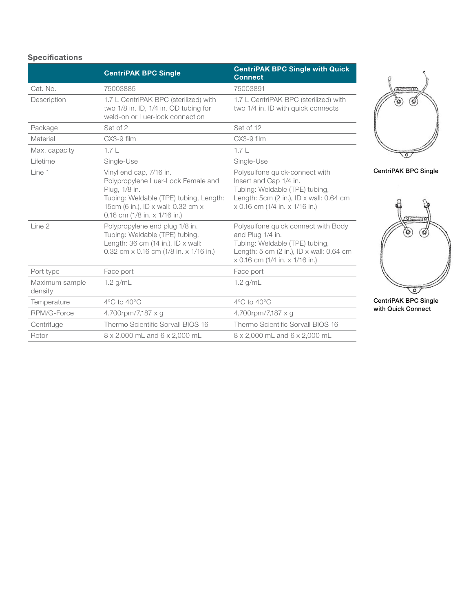# Specifications

|                           | <b>CentriPAK BPC Single</b>                                                                                                                                                                    | <b>CentriPAK BPC Single with Quick</b><br><b>Connect</b>                                                                                                                           |
|---------------------------|------------------------------------------------------------------------------------------------------------------------------------------------------------------------------------------------|------------------------------------------------------------------------------------------------------------------------------------------------------------------------------------|
| Cat. No.                  | 75003885                                                                                                                                                                                       | 75003891                                                                                                                                                                           |
| Description               | 1.7 L CentriPAK BPC (sterilized) with<br>two 1/8 in. ID, 1/4 in. OD tubing for<br>weld-on or Luer-lock connection                                                                              | 1.7 L CentriPAK BPC (sterilized) with<br>two 1/4 in. ID with quick connects                                                                                                        |
| Package                   | Set of 2                                                                                                                                                                                       | Set of 12                                                                                                                                                                          |
| Material                  | $CX3-9$ film                                                                                                                                                                                   | CX3-9 film                                                                                                                                                                         |
| Max. capacity             | 1.7 <sub>L</sub>                                                                                                                                                                               | 1.7 <sub>L</sub>                                                                                                                                                                   |
| Lifetime                  | Single-Use                                                                                                                                                                                     | Single-Use                                                                                                                                                                         |
| Line 1                    | Vinyl end cap, 7/16 in.<br>Polypropylene Luer-Lock Female and<br>Plug, 1/8 in.<br>Tubing: Weldable (TPE) tubing, Length:<br>15cm (6 in.), ID x wall: 0.32 cm x<br>0.16 cm (1/8 in. x 1/16 in.) | Polysulfone quick-connect with<br>Insert and Cap 1/4 in.<br>Tubing: Weldable (TPE) tubing,<br>Length: 5cm $(2 \text{ in.})$ , ID x wall: 0.64 cm<br>x 0.16 cm (1/4 in. x 1/16 in.) |
| Line 2                    | Polypropylene end plug 1/8 in.<br>Tubing: Weldable (TPE) tubing,<br>Length: $36 \text{ cm}$ (14 in.), ID x wall:<br>0.32 cm x 0.16 cm (1/8 in. x 1/16 in.)                                     | Polysulfone quick connect with Body<br>and Plug 1/4 in.<br>Tubing: Weldable (TPE) tubing,<br>Length: 5 cm (2 in.), ID x wall: 0.64 cm<br>x 0.16 cm (1/4 in. x 1/16 in.)            |
| Port type                 | Face port                                                                                                                                                                                      | Face port                                                                                                                                                                          |
| Maximum sample<br>density | $1.2$ g/mL                                                                                                                                                                                     | $1.2$ g/mL                                                                                                                                                                         |
| Temperature               | $4^{\circ}$ C to $40^{\circ}$ C                                                                                                                                                                | $4^{\circ}$ C to $40^{\circ}$ C                                                                                                                                                    |
| RPM/G-Force               | 4,700rpm/7,187 x q                                                                                                                                                                             | 4,700rpm/7,187 x q                                                                                                                                                                 |
| Centrifuge                | Thermo Scientific Sorvall BIOS 16                                                                                                                                                              | Thermo Scientific Sorvall BIOS 16                                                                                                                                                  |
| Rotor                     | 8 x 2,000 mL and 6 x 2,000 mL                                                                                                                                                                  | 8 x 2,000 mL and 6 x 2,000 mL                                                                                                                                                      |



CentriPAK BPC Single



CentriPAK BPC Single with Quick Connect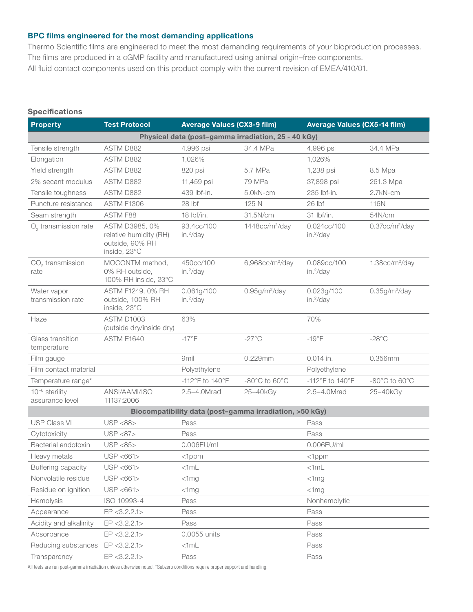### BPC films engineered for the most demanding applications

Thermo Scientific films are engineered to meet the most demanding requirements of your bioproduction processes. The films are produced in a cGMP facility and manufactured using animal origin–free components. All fluid contact components used on this product comply with the current revision of EMEA/410/01.

### **Specifications**

| <b>Property</b>                                     | <b>Test Protocol</b>                                                        | <b>Average Values (CX3-9 film)</b>  |                                                         | <b>Average Values (CX5-14 film)</b>  |                                    |
|-----------------------------------------------------|-----------------------------------------------------------------------------|-------------------------------------|---------------------------------------------------------|--------------------------------------|------------------------------------|
| Physical data (post-gamma irradiation, 25 - 40 kGy) |                                                                             |                                     |                                                         |                                      |                                    |
| Tensile strength                                    | ASTM D882                                                                   | 4,996 psi                           | 34.4 MPa                                                | 4,996 psi                            | 34.4 MPa                           |
| Elongation                                          | ASTM D882                                                                   | 1,026%                              |                                                         | 1,026%                               |                                    |
| Yield strength                                      | ASTM D882                                                                   | 820 psi                             | 5.7 MPa                                                 | 1,238 psi                            | 8.5 Mpa                            |
| 2% secant modulus                                   | <b>ASTM D882</b>                                                            | 11,459 psi                          | 79 MPa                                                  | 37,898 psi                           | 261.3 Mpa                          |
| Tensile toughness                                   | ASTM D882                                                                   | 439 lbf-in.                         | 5.0kN-cm                                                | 235 lbf-in.                          | 2.7kN-cm                           |
| Puncture resistance                                 | ASTM F1306                                                                  | 28 lbf                              | 125 N                                                   | 26 lbf                               | 116N                               |
| Seam strength                                       | ASTM F88                                                                    | $18$ lbf/in.                        | 31.5N/cm                                                | 31 lbf/in.                           | 54N/cm                             |
| O <sub>2</sub> transmission rate                    | ASTM D3985, 0%<br>relative humidity (RH)<br>outside, 90% RH<br>inside, 23°C | 93.4cc/100<br>in. <sup>2</sup> /day | 1448cc/m <sup>2</sup> /day                              | 0.024cc/100<br>in. <sup>2</sup> /day | 0.37cc/m <sup>2</sup> /day         |
| $CO2$ transmission<br>rate                          | MOCONTM method,<br>0% RH outside,<br>100% RH inside, 23°C                   | 450cc/100<br>in. <sup>2</sup> /day  | 6,968cc/m <sup>2</sup> /day                             | 0.089cc/100<br>in. <sup>2</sup> /day | 1.38cc/m <sup>2</sup> /day         |
| Water vapor<br>transmission rate                    | ASTM F1249, 0% RH<br>outside, 100% RH<br>inside, 23°C                       | 0.061g/100<br>in. <sup>2</sup> /day | 0.95g/m <sup>2</sup> /day                               | 0.023g/100<br>in. <sup>2</sup> /day  | 0.35g/m <sup>2</sup> /day          |
| Haze                                                | ASTM D1003<br>(outside dry/inside dry)                                      | 63%                                 |                                                         | 70%                                  |                                    |
| Glass transition<br>temperature                     | ASTM E1640                                                                  | $-17^{\circ}$ F                     | $-27^{\circ}$ C                                         | $-19^{\circ}F$                       | $-28^{\circ}$ C                    |
| Film gauge                                          |                                                                             | 9mil                                | 0.229mm                                                 | 0.014 in.                            | 0.356mm                            |
| Film contact material                               |                                                                             | Polyethylene                        |                                                         | Polyethylene                         |                                    |
| Temperature range*                                  |                                                                             | -112°F to 140°F                     | $-80^{\circ}$ C to 60 $^{\circ}$ C                      | -112°F to 140°F                      | $-80^{\circ}$ C to 60 $^{\circ}$ C |
| $10^{-6}$ sterility<br>assurance level              | ANSI/AAMI/ISO<br>11137:2006                                                 | 2.5-4.0Mrad                         | 25-40kGy                                                | 2.5-4.0Mrad                          | 25-40kGy                           |
|                                                     |                                                                             |                                     | Biocompatibility data (post-gamma irradiation, >50 kGy) |                                      |                                    |
| <b>USP Class VI</b>                                 | <b>USP &lt;88&gt;</b>                                                       | Pass                                |                                                         | Pass                                 |                                    |
| Cytotoxicity                                        | <b>USP &lt;87&gt;</b>                                                       | Pass                                |                                                         | Pass                                 |                                    |
| Bacterial endotoxin                                 | USP <85>                                                                    | 0.006EU/mL                          |                                                         | 0.006EU/mL                           |                                    |
| Heavy metals                                        | USP < 661                                                                   | $<$ 1 $ppm$                         |                                                         | $<$ 1 $ppm$                          |                                    |
| Buffering capacity                                  | USP <661>                                                                   | <1mL                                |                                                         | $<$ 1mL                              |                                    |
| Nonvolatile residue                                 | USP < 661                                                                   | $<$ 1mg                             |                                                         | $<$ 1mg                              |                                    |
| Residue on ignition                                 | USP <661>                                                                   | $<$ 1mg                             |                                                         | $<$ 1mg                              |                                    |
| Hemolysis                                           | ISO 10993-4                                                                 | Pass                                |                                                         | Nonhemolytic                         |                                    |
| Appearance                                          | EP < 3.2.2.1 >                                                              | Pass                                |                                                         | Pass                                 |                                    |
| Acidity and alkalinity                              | EP < 3.2.2.1                                                                | Pass                                |                                                         | Pass                                 |                                    |
| Absorbance                                          | EP < 3.2.2.1                                                                | 0.0055 units                        |                                                         | Pass                                 |                                    |
| Reducing substances                                 | EP < 3.2.2.1                                                                | $<$ 1mL                             |                                                         | Pass                                 |                                    |
| Transparency                                        | EP < 3.2.2.1 >                                                              | Pass                                |                                                         | Pass                                 |                                    |

All tests are run post-gamma irradiation unless otherwise noted. \*Subzero conditions require proper support and handling.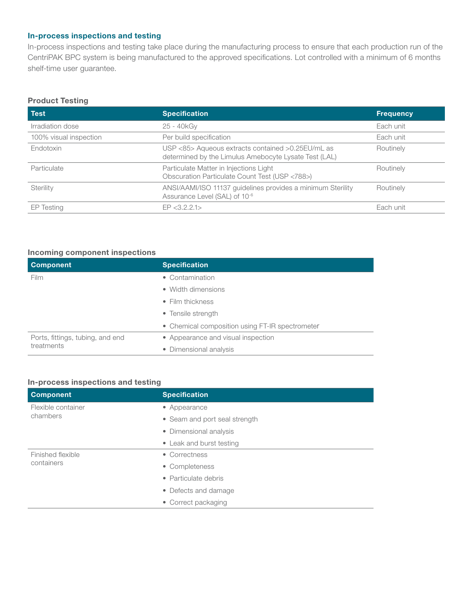# In-process inspections and testing

In-process inspections and testing take place during the manufacturing process to ensure that each production run of the CentriPAK BPC system is being manufactured to the approved specifications. Lot controlled with a minimum of 6 months shelf-time user guarantee.

#### Product Testing

| <b>Test</b>            | <b>Specification</b>                                                                                       | <b>Frequency</b> |
|------------------------|------------------------------------------------------------------------------------------------------------|------------------|
| Irradiation dose       | 25 - 40kGy                                                                                                 | Each unit        |
| 100% visual inspection | Per build specification                                                                                    | Each unit        |
| Endotoxin              | USP <85> Aqueous extracts contained >0.25EU/mL as<br>determined by the Limulus Amebocyte Lysate Test (LAL) | Routinely        |
| Particulate            | Particulate Matter in Injections Light<br>Obscuration Particulate Count Test (USP <788>)                   | Routinely        |
| Sterility              | ANSI/AAMI/ISO 11137 guidelines provides a minimum Sterility<br>Assurance Level (SAL) of 10-6               | Routinely        |
| EP Testing             | FP < 3.2.2.1                                                                                               | Each unit        |

### Incoming component inspections

| <b>Component</b>                               | <b>Specification</b>                            |
|------------------------------------------------|-------------------------------------------------|
| Film                                           | • Contamination                                 |
|                                                | • Width dimensions                              |
|                                                | $\bullet$ Film thickness                        |
|                                                | • Tensile strength                              |
|                                                | • Chemical composition using FT-IR spectrometer |
| Ports, fittings, tubing, and end<br>treatments | • Appearance and visual inspection              |
|                                                | • Dimensional analysis                          |

#### In-process inspections and testing

| <b>Component</b>   | <b>Specification</b>          |
|--------------------|-------------------------------|
| Flexible container | • Appearance                  |
| chambers           | • Seam and port seal strength |
|                    | • Dimensional analysis        |
|                    | • Leak and burst testing      |
| Finished flexible  | • Correctness                 |
| containers         | • Completeness                |
|                    | • Particulate debris          |
|                    | • Defects and damage          |
|                    | • Correct packaging           |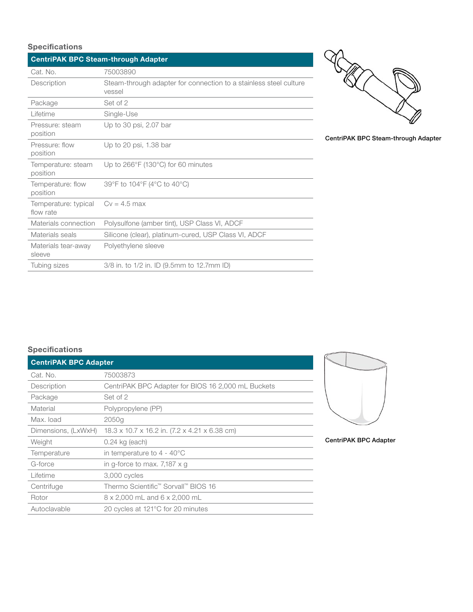# **Specifications**

| <b>CentriPAK BPC Steam-through Adapter</b> |                                                                             |  |  |
|--------------------------------------------|-----------------------------------------------------------------------------|--|--|
| Cat. No.                                   | 75003890                                                                    |  |  |
| Description                                | Steam-through adapter for connection to a stainless steel culture<br>vessel |  |  |
| Package                                    | Set of 2                                                                    |  |  |
| Lifetime                                   | Single-Use                                                                  |  |  |
| Pressure: steam<br>position                | Up to 30 psi, 2.07 bar                                                      |  |  |
| Pressure: flow<br>position                 | Up to 20 psi, 1.38 bar                                                      |  |  |
| Temperature: steam<br>position             | Up to 266°F (130°C) for 60 minutes                                          |  |  |
| Temperature: flow<br>position              | 39°F to 104°F (4°C to 40°C)                                                 |  |  |
| Temperature: typical<br>flow rate          | $Cv = 4.5$ max                                                              |  |  |
| Materials connection                       | Polysulfone (amber tint), USP Class VI, ADCF                                |  |  |
| Materials seals                            | Silicone (clear), platinum-cured, USP Class VI, ADCF                        |  |  |
| Materials tear-away<br>sleeve              | Polyethylene sleeve                                                         |  |  |
| Tubing sizes                               | 3/8 in. to 1/2 in. ID (9.5mm to 12.7mm ID)                                  |  |  |



CentriPAK BPC Steam-through Adapter

# **Specifications**

| <b>CentriPAK BPC Adapter</b> |                                                    |
|------------------------------|----------------------------------------------------|
| Cat. No.                     | 75003873                                           |
| Description                  | CentriPAK BPC Adapter for BIOS 16 2,000 mL Buckets |
| Package                      | Set of 2                                           |
| Material                     | Polypropylene (PP)                                 |
| Max. load                    | 2050g                                              |
| Dimensions, (LxWxH)          | 18.3 x 10.7 x 16.2 in. (7.2 x 4.21 x 6.38 cm)      |
| Weight                       | $0.24$ kg (each)                                   |
| Temperature                  | in temperature to $4 - 40^{\circ}$ C               |
| G-force                      | in g-force to max. 7,187 $\times$ g                |
| Lifetime                     | 3,000 cycles                                       |
| Centrifuge                   | Thermo Scientific <sup>™</sup> Sorvall™ BIOS 16    |
| Rotor                        | 8 x 2,000 mL and 6 x 2,000 mL                      |
| Autoclavable                 | 20 cycles at 121°C for 20 minutes                  |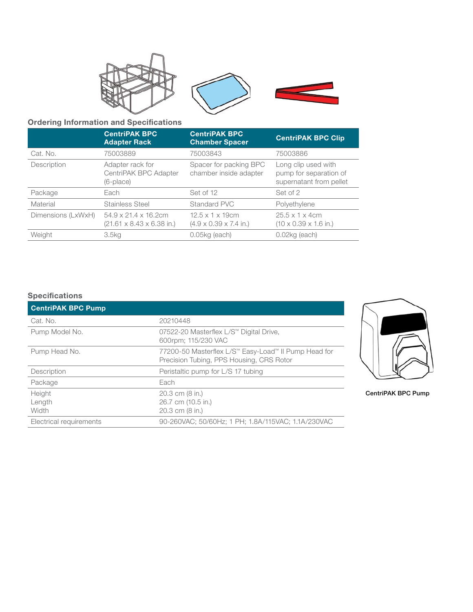

# Ordering Information and Specifications

|                    | <b>CentriPAK BPC</b><br><b>Adapter Rack</b>                                        | <b>CentriPAK BPC</b><br><b>Chamber Spacer</b>                              | <b>CentriPAK BPC Clip</b>                                                |
|--------------------|------------------------------------------------------------------------------------|----------------------------------------------------------------------------|--------------------------------------------------------------------------|
| Cat. No.           | 75003889                                                                           | 75003843                                                                   | 75003886                                                                 |
| Description        | Adapter rack for<br>CentriPAK BPC Adapter<br>(6-place)                             | Spacer for packing BPC<br>chamber inside adapter                           | Long clip used with<br>pump for separation of<br>supernatant from pellet |
| Package            | Each                                                                               | Set of 12                                                                  | Set of 2                                                                 |
| Material           | <b>Stainless Steel</b>                                                             | Standard PVC                                                               | Polyethylene                                                             |
| Dimensions (LxWxH) | $54.9 \times 21.4 \times 16.2$ cm<br>$(21.61 \times 8.43 \times 6.38 \text{ in.})$ | $12.5 \times 1 \times 19$ cm<br>$(4.9 \times 0.39 \times 7.4 \text{ in.})$ | $25.5 \times 1 \times 4$ cm<br>$(10 \times 0.39 \times 1.6)$ in.)        |
| Weight             | 3.5kg                                                                              | $0.05$ kg (each)                                                           | $0.02$ kg (each)                                                         |

# Specifications

| <b>CentriPAK BPC Pump</b> |                                                                                                  |
|---------------------------|--------------------------------------------------------------------------------------------------|
| Cat. No.                  | 20210448                                                                                         |
| Pump Model No.            | 07522-20 Masterflex L/S™ Digital Drive,<br>600rpm; 115/230 VAC                                   |
| Pump Head No.             | 77200-50 Masterflex L/S™ Easy-Load™ II Pump Head for<br>Precision Tubing, PPS Housing, CRS Rotor |
| Description               | Peristaltic pump for L/S 17 tubing                                                               |
| Package                   | Each                                                                                             |
| Height<br>Length<br>Width | 20.3 cm (8 in.)<br>26.7 cm (10.5 in.)<br>20.3 cm (8 in.)                                         |
| Electrical requirements   | 90-260VAC: 50/60Hz: 1 PH: 1.8A/115VAC: 1.1A/230VAC                                               |



CentriPAK BPC Pump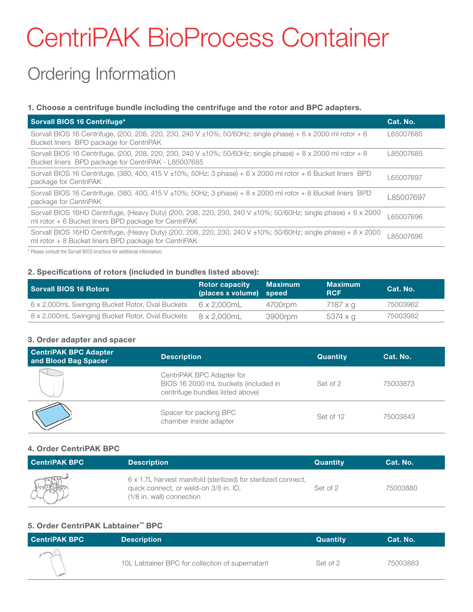# CentriPAK BioProcess Container

# Ordering Information

# 1. Choose a centrifuge bundle including the centrifuge and the rotor and BPC adapters.

| Sorvall BIOS 16 Centrifuge*                                                                                                                                           | Cat. No.  |
|-----------------------------------------------------------------------------------------------------------------------------------------------------------------------|-----------|
| Sorvall BIOS 16 Centrifuge, (200, 208, 220, 230, 240 V ±10%; 50/60Hz; single phase) + 6 x 2000 ml rotor + 6<br>Bucket liners BPD package for CentriPAK                | L65007685 |
| Sorvall BIOS 16 Centrifuge, (200, 208, 220, 230, 240 V ±10%; 50/60Hz; single phase) + 8 x 2000 ml rotor + 8<br>Bucket liners BPD package for CentriPAK - L85007685    | L85007685 |
| Sorvall BIOS 16 Centrifuge, (380, 400, 415 V $\pm$ 10%; 50Hz; 3 phase) + 6 x 2000 ml rotor + 6 Bucket liners BPD<br>package for CentriPAK                             | L65007697 |
| Sorvall BIOS 16 Centrifuge, (380, 400, 415 V $\pm$ 10%; 50Hz; 3 phase) + 8 x 2000 ml rotor + 8 Bucket liners BPD<br>package for CentriPAK                             | 85007697  |
| Sorvall BIOS 16HD Centrifuge, (Heavy Duty) (200, 208, 220, 230, 240 V ±10%; 50/60Hz; single phase) + 6 x 2000<br>ml rotor + 6 Bucket liners BPD package for CentriPAK | 65007696  |
| Sorvall BIOS 16HD Centrifuge, (Heavy Duty) (200, 208, 220, 230, 240 V ±10%; 50/60Hz; single phase) + 8 x 2000<br>ml rotor + 8 Bucket liners BPD package for CentriPAK | 85007696  |
| * Diegoe concult the Carvell DIOS brooburg for additional information                                                                                                 |           |

ult the Sorvall BIOS brochure for additional information.

# 2. Specifications of rotors (included in bundles listed above):

| <b>Sorvall BIOS 16 Rotors</b>                   | <b>Rotor capacity</b><br>(places x volume) speed | Maximum | <b>Maximum</b><br><b>RCF</b> | Cat. No. |
|-------------------------------------------------|--------------------------------------------------|---------|------------------------------|----------|
| 6 x 2,000mL Swinging Bucket Rotor, Oval Buckets | 6 x 2.000mL                                      | 4700rpm | 7187 x a                     | 75003962 |
| 8 x 2,000mL Swinging Bucket Rotor, Oval Buckets | 8 x 2.000mL                                      | 3900rpm | 5374 x q                     | 75003982 |

# 3. Order adapter and spacer

| <b>CentriPAK BPC Adapter</b><br>and Blood Bag Spacer | <b>Description</b>                                                                                    | <b>Quantity</b> | Cat. No. |
|------------------------------------------------------|-------------------------------------------------------------------------------------------------------|-----------------|----------|
|                                                      | CentriPAK BPC Adapter for<br>BIOS 16 2000 mL buckets (included in<br>centrifuge bundles listed above) | Set of 2        | 75003873 |
|                                                      | Spacer for packing BPC<br>chamber inside adapter                                                      | Set of 12       | 75003843 |

# 4. Order CentriPAK BPC

| <b>CentriPAK BPC</b> | <b>Description</b>                                                                                                                   | <b>Quantity</b> | Cat. No. |
|----------------------|--------------------------------------------------------------------------------------------------------------------------------------|-----------------|----------|
|                      | 6 x 1.7L harvest manifold (sterilized) for sterilized connect,<br>quick connect, or weld-on 3/8 in. ID,<br>(1/8 in. wall) connection | Set of 2        | 75003880 |

# 5. Order CentriPAK Labtainer™ BPC

| <b>CentriPAK BPC</b> | <b>Description</b>                              | <b>Quantity</b> | Cat. No. |
|----------------------|-------------------------------------------------|-----------------|----------|
|                      | 10L Labtainer BPC for collection of supernatant | Set of 2        | 75003883 |